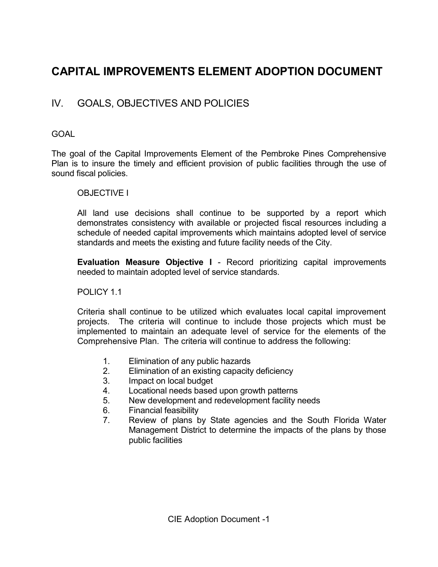# CAPITAL IMPROVEMENTS ELEMENT ADOPTION DOCUMENT

# IV. GOALS, OBJECTIVES AND POLICIES

# GOAL

The goal of the Capital Improvements Element of the Pembroke Pines Comprehensive Plan is to insure the timely and efficient provision of public facilities through the use of sound fiscal policies.

### OBJECTIVE I

 All land use decisions shall continue to be supported by a report which demonstrates consistency with available or projected fiscal resources including a schedule of needed capital improvements which maintains adopted level of service standards and meets the existing and future facility needs of the City.

Evaluation Measure Objective I - Record prioritizing capital improvements needed to maintain adopted level of service standards.

### POLICY 11

Criteria shall continue to be utilized which evaluates local capital improvement projects. The criteria will continue to include those projects which must be implemented to maintain an adequate level of service for the elements of the Comprehensive Plan. The criteria will continue to address the following:

- 1. Elimination of any public hazards<br>2. Elimination of an existing capacity
- Elimination of an existing capacity deficiency
- 3. Impact on local budget
- 4. Locational needs based upon growth patterns
- 5. New development and redevelopment facility needs
- 6. Financial feasibility
- 7. Review of plans by State agencies and the South Florida Water Management District to determine the impacts of the plans by those public facilities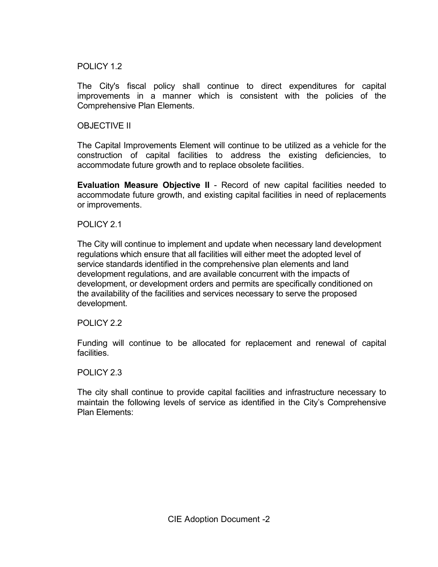### POLICY 1.2

 The City's fiscal policy shall continue to direct expenditures for capital improvements in a manner which is consistent with the policies of the Comprehensive Plan Elements.

### OBJECTIVE II

 The Capital Improvements Element will continue to be utilized as a vehicle for the construction of capital facilities to address the existing deficiencies, to accommodate future growth and to replace obsolete facilities.

 Evaluation Measure Objective II - Record of new capital facilities needed to accommodate future growth, and existing capital facilities in need of replacements or improvements.

## POLICY 2.1

The City will continue to implement and update when necessary land development regulations which ensure that all facilities will either meet the adopted level of service standards identified in the comprehensive plan elements and land development regulations, and are available concurrent with the impacts of development, or development orders and permits are specifically conditioned on the availability of the facilities and services necessary to serve the proposed development.

### POLICY 2.2

 Funding will continue to be allocated for replacement and renewal of capital facilities.

### POLICY 2.3

 The city shall continue to provide capital facilities and infrastructure necessary to maintain the following levels of service as identified in the City's Comprehensive Plan Elements: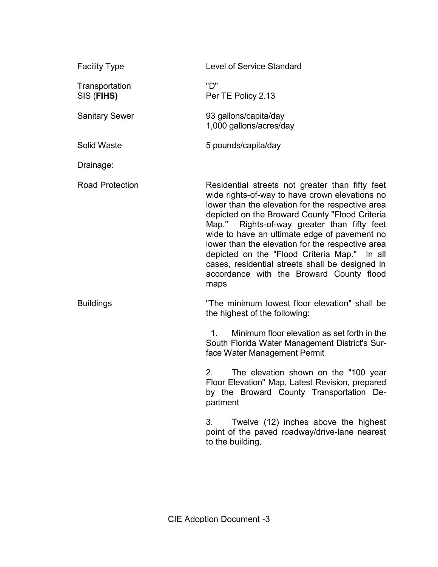| <b>Facility Type</b>         | <b>Level of Service Standard</b>                                                                                                                                                                                                                                                                                                                                                                                                                                                                                  |
|------------------------------|-------------------------------------------------------------------------------------------------------------------------------------------------------------------------------------------------------------------------------------------------------------------------------------------------------------------------------------------------------------------------------------------------------------------------------------------------------------------------------------------------------------------|
| Transportation<br>SIS (FIHS) | "D"<br>Per TE Policy 2.13                                                                                                                                                                                                                                                                                                                                                                                                                                                                                         |
| <b>Sanitary Sewer</b>        | 93 gallons/capita/day<br>1,000 gallons/acres/day                                                                                                                                                                                                                                                                                                                                                                                                                                                                  |
| <b>Solid Waste</b>           | 5 pounds/capita/day                                                                                                                                                                                                                                                                                                                                                                                                                                                                                               |
| Drainage:                    |                                                                                                                                                                                                                                                                                                                                                                                                                                                                                                                   |
| <b>Road Protection</b>       | Residential streets not greater than fifty feet<br>wide rights-of-way to have crown elevations no<br>lower than the elevation for the respective area<br>depicted on the Broward County "Flood Criteria<br>Map." Rights-of-way greater than fifty feet<br>wide to have an ultimate edge of pavement no<br>lower than the elevation for the respective area<br>depicted on the "Flood Criteria Map." In all<br>cases, residential streets shall be designed in<br>accordance with the Broward County flood<br>maps |
| <b>Buildings</b>             | "The minimum lowest floor elevation" shall be<br>the highest of the following:<br>Minimum floor elevation as set forth in the<br>$1_{-}$<br>South Florida Water Management District's Sur-                                                                                                                                                                                                                                                                                                                        |
|                              | face Water Management Permit                                                                                                                                                                                                                                                                                                                                                                                                                                                                                      |
|                              | 2.<br>The elevation shown on the "100 year<br>Floor Elevation" Map, Latest Revision, prepared<br>by the Broward County Transportation De-<br>partment                                                                                                                                                                                                                                                                                                                                                             |
|                              | Twelve (12) inches above the highest<br>3.<br>point of the paved roadway/drive-lane nearest<br>to the building.                                                                                                                                                                                                                                                                                                                                                                                                   |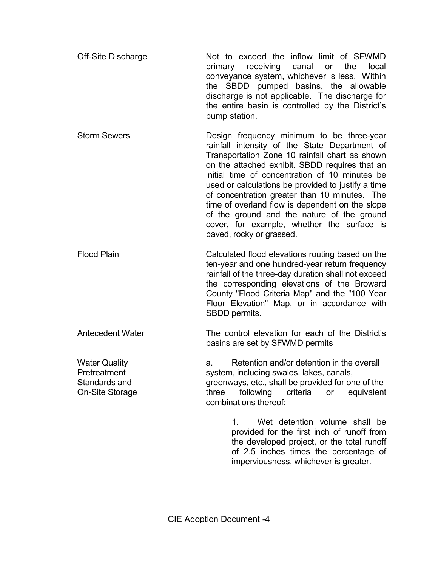| Not to exceed the inflow limit of SFWMD          |
|--------------------------------------------------|
| primary receiving canal or the local             |
| conveyance system, whichever is less. Within     |
| the SBDD pumped basins, the allowable            |
| discharge is not applicable. The discharge for   |
| the entire basin is controlled by the District's |
| pump station.                                    |
|                                                  |

- Storm Sewers **Example 3** Design frequency minimum to be three-year rainfall intensity of the State Department of Transportation Zone 10 rainfall chart as shown on the attached exhibit. SBDD requires that an initial time of concentration of 10 minutes be used or calculations be provided to justify a time of concentration greater than 10 minutes. The time of overland flow is dependent on the slope of the ground and the nature of the ground cover, for example, whether the surface is paved, rocky or grassed.
- Flood Plain Calculated flood elevations routing based on the ten-year and one hundred-year return frequency rainfall of the three-day duration shall not exceed the corresponding elevations of the Broward County "Flood Criteria Map" and the "100 Year Floor Elevation" Map, or in accordance with SBDD permits.

Antecedent Water The control elevation for each of the District's basins are set by SFWMD permits

Water Quality **a.** Retention and/or detention in the overall Pretreatment system, including swales, lakes, canals, Standards and **greenways, etc., shall be provided for one of the** On-Site Storage Three following criteria or equivalent combinations thereof:

> 1. Wet detention volume shall be provided for the first inch of runoff from the developed project, or the total runoff of 2.5 inches times the percentage of imperviousness, whichever is greater.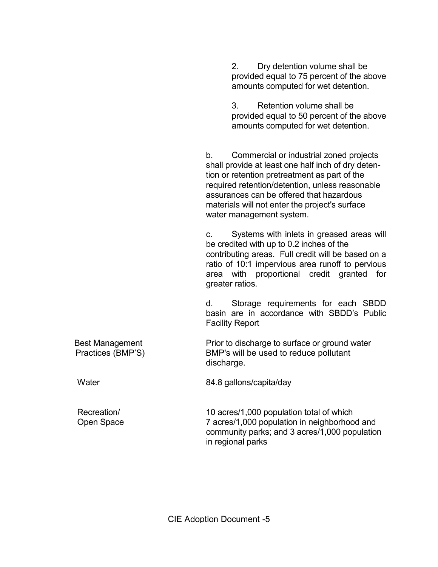2. Dry detention volume shall be provided equal to 75 percent of the above amounts computed for wet detention.

 3. Retention volume shall be provided equal to 50 percent of the above amounts computed for wet detention.

b. Commercial or industrial zoned projects shall provide at least one half inch of dry detention or retention pretreatment as part of the required retention/detention, unless reasonable assurances can be offered that hazardous materials will not enter the project's surface water management system.

 c. Systems with inlets in greased areas will be credited with up to 0.2 inches of the contributing areas. Full credit will be based on a ratio of 10:1 impervious area runoff to pervious area with proportional credit granted for greater ratios.

 d. Storage requirements for each SBDD basin are in accordance with SBDD's Public Facility Report

 Best Management Prior to discharge to surface or ground water Practices (BMP'S) BMP's will be used to reduce pollutant discharge.

Water 84.8 gallons/capita/day

Recreation/ 10 acres/1,000 population total of which Open Space 7 acres/1,000 population in neighborhood and community parks; and 3 acres/1,000 population in regional parks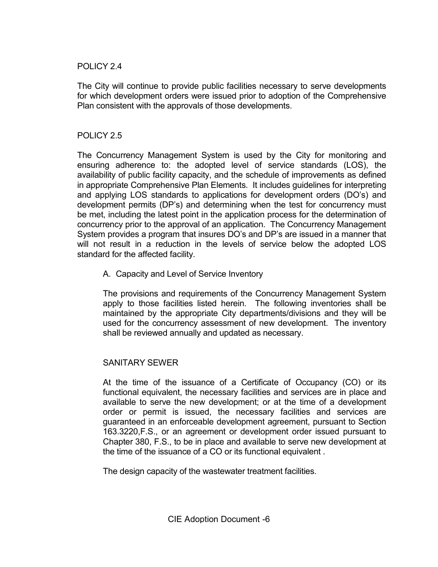## POLICY 2.4

 The City will continue to provide public facilities necessary to serve developments for which development orders were issued prior to adoption of the Comprehensive Plan consistent with the approvals of those developments.

### POLICY 2.5

 The Concurrency Management System is used by the City for monitoring and ensuring adherence to: the adopted level of service standards (LOS), the availability of public facility capacity, and the schedule of improvements as defined in appropriate Comprehensive Plan Elements. It includes guidelines for interpreting and applying LOS standards to applications for development orders (DO's) and development permits (DP's) and determining when the test for concurrency must be met, including the latest point in the application process for the determination of concurrency prior to the approval of an application. The Concurrency Management System provides a program that insures DO's and DP's are issued in a manner that will not result in a reduction in the levels of service below the adopted LOS standard for the affected facility.

A. Capacity and Level of Service Inventory

 The provisions and requirements of the Concurrency Management System apply to those facilities listed herein. The following inventories shall be maintained by the appropriate City departments/divisions and they will be used for the concurrency assessment of new development. The inventory shall be reviewed annually and updated as necessary.

# SANITARY SEWER

 At the time of the issuance of a Certificate of Occupancy (CO) or its functional equivalent, the necessary facilities and services are in place and available to serve the new development; or at the time of a development order or permit is issued, the necessary facilities and services are guaranteed in an enforceable development agreement, pursuant to Section 163.3220,F.S., or an agreement or development order issued pursuant to Chapter 380, F.S., to be in place and available to serve new development at the time of the issuance of a CO or its functional equivalent .

The design capacity of the wastewater treatment facilities.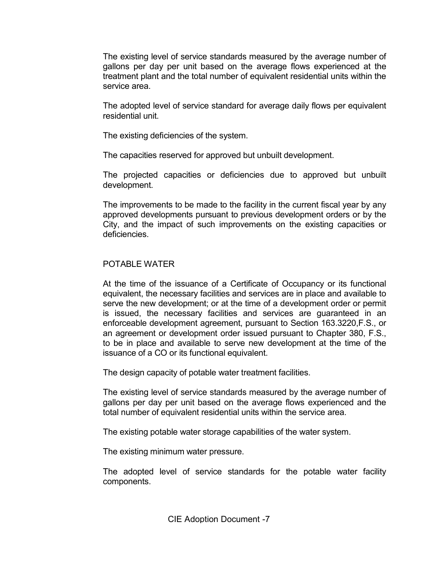The existing level of service standards measured by the average number of gallons per day per unit based on the average flows experienced at the treatment plant and the total number of equivalent residential units within the service area.

 The adopted level of service standard for average daily flows per equivalent residential unit.

The existing deficiencies of the system.

The capacities reserved for approved but unbuilt development.

 The projected capacities or deficiencies due to approved but unbuilt development.

 The improvements to be made to the facility in the current fiscal year by any approved developments pursuant to previous development orders or by the City, and the impact of such improvements on the existing capacities or deficiencies.

### POTABLE WATER

 At the time of the issuance of a Certificate of Occupancy or its functional equivalent, the necessary facilities and services are in place and available to serve the new development; or at the time of a development order or permit is issued, the necessary facilities and services are guaranteed in an enforceable development agreement, pursuant to Section 163.3220,F.S., or an agreement or development order issued pursuant to Chapter 380, F.S., to be in place and available to serve new development at the time of the issuance of a CO or its functional equivalent.

The design capacity of potable water treatment facilities.

 The existing level of service standards measured by the average number of gallons per day per unit based on the average flows experienced and the total number of equivalent residential units within the service area.

The existing potable water storage capabilities of the water system.

The existing minimum water pressure.

 The adopted level of service standards for the potable water facility components.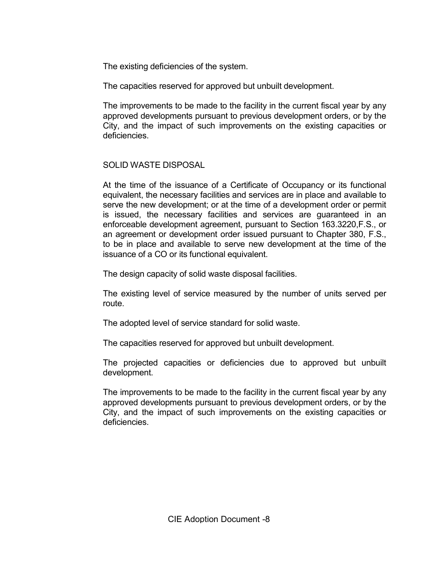The existing deficiencies of the system.

The capacities reserved for approved but unbuilt development.

 The improvements to be made to the facility in the current fiscal year by any approved developments pursuant to previous development orders, or by the City, and the impact of such improvements on the existing capacities or deficiencies.

# SOLID WASTE DISPOSAL

 At the time of the issuance of a Certificate of Occupancy or its functional equivalent, the necessary facilities and services are in place and available to serve the new development; or at the time of a development order or permit is issued, the necessary facilities and services are guaranteed in an enforceable development agreement, pursuant to Section 163.3220,F.S., or an agreement or development order issued pursuant to Chapter 380, F.S., to be in place and available to serve new development at the time of the issuance of a CO or its functional equivalent.

The design capacity of solid waste disposal facilities.

 The existing level of service measured by the number of units served per route.

The adopted level of service standard for solid waste.

The capacities reserved for approved but unbuilt development.

 The projected capacities or deficiencies due to approved but unbuilt development.

 The improvements to be made to the facility in the current fiscal year by any approved developments pursuant to previous development orders, or by the City, and the impact of such improvements on the existing capacities or deficiencies.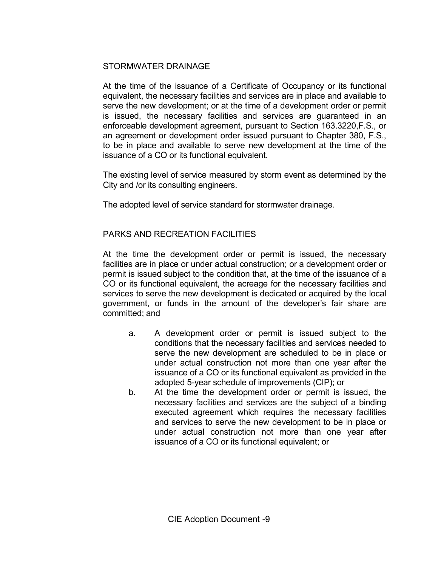# STORMWATER DRAINAGE

 At the time of the issuance of a Certificate of Occupancy or its functional equivalent, the necessary facilities and services are in place and available to serve the new development; or at the time of a development order or permit is issued, the necessary facilities and services are guaranteed in an enforceable development agreement, pursuant to Section 163.3220,F.S., or an agreement or development order issued pursuant to Chapter 380, F.S., to be in place and available to serve new development at the time of the issuance of a CO or its functional equivalent.

 The existing level of service measured by storm event as determined by the City and /or its consulting engineers.

The adopted level of service standard for stormwater drainage.

## PARKS AND RECREATION FACILITIES

 At the time the development order or permit is issued, the necessary facilities are in place or under actual construction; or a development order or permit is issued subject to the condition that, at the time of the issuance of a CO or its functional equivalent, the acreage for the necessary facilities and services to serve the new development is dedicated or acquired by the local government, or funds in the amount of the developer's fair share are committed; and

- a. A development order or permit is issued subject to the conditions that the necessary facilities and services needed to serve the new development are scheduled to be in place or under actual construction not more than one year after the issuance of a CO or its functional equivalent as provided in the adopted 5-year schedule of improvements (CIP); or
- b. At the time the development order or permit is issued, the necessary facilities and services are the subject of a binding executed agreement which requires the necessary facilities and services to serve the new development to be in place or under actual construction not more than one year after issuance of a CO or its functional equivalent; or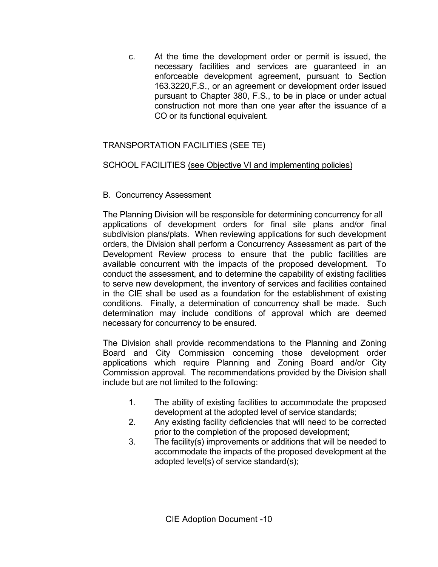c. At the time the development order or permit is issued, the necessary facilities and services are guaranteed in an enforceable development agreement, pursuant to Section 163.3220,F.S., or an agreement or development order issued pursuant to Chapter 380, F.S., to be in place or under actual construction not more than one year after the issuance of a CO or its functional equivalent.

# TRANSPORTATION FACILITIES (SEE TE)

# SCHOOL FACILITIES (see Objective VI and implementing policies)

# B. Concurrency Assessment

 The Planning Division will be responsible for determining concurrency for all applications of development orders for final site plans and/or final subdivision plans/plats. When reviewing applications for such development orders, the Division shall perform a Concurrency Assessment as part of the Development Review process to ensure that the public facilities are available concurrent with the impacts of the proposed development. To conduct the assessment, and to determine the capability of existing facilities to serve new development, the inventory of services and facilities contained in the CIE shall be used as a foundation for the establishment of existing conditions. Finally, a determination of concurrency shall be made. Such determination may include conditions of approval which are deemed necessary for concurrency to be ensured.

The Division shall provide recommendations to the Planning and Zoning Board and City Commission concerning those development order applications which require Planning and Zoning Board and/or City Commission approval. The recommendations provided by the Division shall include but are not limited to the following:

- 1. The ability of existing facilities to accommodate the proposed development at the adopted level of service standards;
- 2. Any existing facility deficiencies that will need to be corrected prior to the completion of the proposed development;
- 3. The facility(s) improvements or additions that will be needed to accommodate the impacts of the proposed development at the adopted level(s) of service standard(s);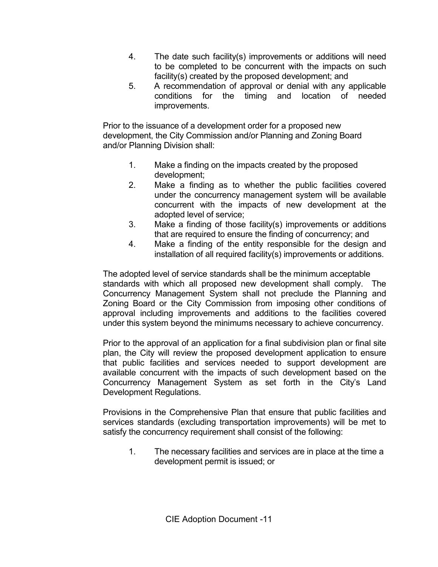- 4. The date such facility(s) improvements or additions will need to be completed to be concurrent with the impacts on such facility(s) created by the proposed development; and
- 5. A recommendation of approval or denial with any applicable conditions for the timing and location of needed improvements.

Prior to the issuance of a development order for a proposed new development, the City Commission and/or Planning and Zoning Board and/or Planning Division shall:

- 1. Make a finding on the impacts created by the proposed development;
- 2. Make a finding as to whether the public facilities covered under the concurrency management system will be available concurrent with the impacts of new development at the adopted level of service;
- 3. Make a finding of those facility(s) improvements or additions that are required to ensure the finding of concurrency; and
- 4. Make a finding of the entity responsible for the design and installation of all required facility(s) improvements or additions.

The adopted level of service standards shall be the minimum acceptable standards with which all proposed new development shall comply. The Concurrency Management System shall not preclude the Planning and Zoning Board or the City Commission from imposing other conditions of approval including improvements and additions to the facilities covered under this system beyond the minimums necessary to achieve concurrency.

Prior to the approval of an application for a final subdivision plan or final site plan, the City will review the proposed development application to ensure that public facilities and services needed to support development are available concurrent with the impacts of such development based on the Concurrency Management System as set forth in the City's Land Development Regulations.

Provisions in the Comprehensive Plan that ensure that public facilities and services standards (excluding transportation improvements) will be met to satisfy the concurrency requirement shall consist of the following:

1. The necessary facilities and services are in place at the time a development permit is issued; or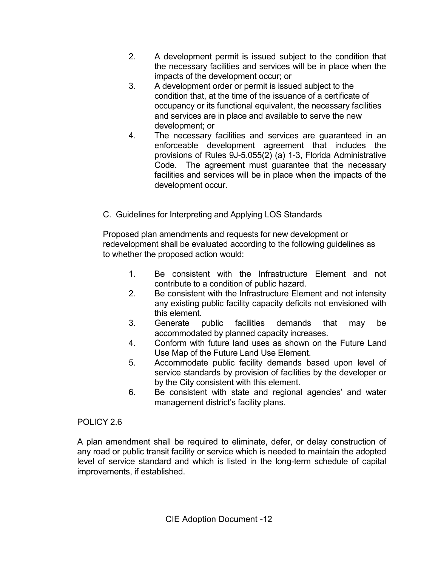- 2. A development permit is issued subject to the condition that the necessary facilities and services will be in place when the impacts of the development occur; or
- 3. A development order or permit is issued subject to the condition that, at the time of the issuance of a certificate of occupancy or its functional equivalent, the necessary facilities and services are in place and available to serve the new development; or
- 4. The necessary facilities and services are guaranteed in an enforceable development agreement that includes the provisions of Rules 9J-5.055(2) (a) 1-3, Florida Administrative Code. The agreement must guarantee that the necessary facilities and services will be in place when the impacts of the development occur.
- C. Guidelines for Interpreting and Applying LOS Standards

Proposed plan amendments and requests for new development or redevelopment shall be evaluated according to the following guidelines as to whether the proposed action would:

- 1. Be consistent with the Infrastructure Element and not contribute to a condition of public hazard.
- 2. Be consistent with the Infrastructure Element and not intensity any existing public facility capacity deficits not envisioned with this element.
- 3. Generate public facilities demands that may be accommodated by planned capacity increases.
- 4. Conform with future land uses as shown on the Future Land Use Map of the Future Land Use Element.
- 5. Accommodate public facility demands based upon level of service standards by provision of facilities by the developer or by the City consistent with this element.
- 6. Be consistent with state and regional agencies' and water management district's facility plans.

# POLICY 2.6

A plan amendment shall be required to eliminate, defer, or delay construction of any road or public transit facility or service which is needed to maintain the adopted level of service standard and which is listed in the long-term schedule of capital improvements, if established.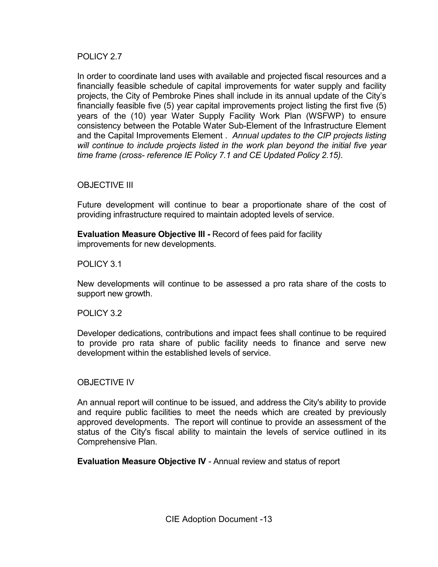POLICY 2.7

In order to coordinate land uses with available and projected fiscal resources and a financially feasible schedule of capital improvements for water supply and facility projects, the City of Pembroke Pines shall include in its annual update of the City's financially feasible five (5) year capital improvements project listing the first five (5) years of the (10) year Water Supply Facility Work Plan (WSFWP) to ensure consistency between the Potable Water Sub-Element of the Infrastructure Element and the Capital Improvements Element . Annual updates to the CIP projects listing will continue to include projects listed in the work plan beyond the initial five year time frame (cross- reference IE Policy 7.1 and CE Updated Policy 2.15).

### OBJECTIVE III

 Future development will continue to bear a proportionate share of the cost of providing infrastructure required to maintain adopted levels of service.

Evaluation Measure Objective III - Record of fees paid for facility improvements for new developments.

POLICY 3.1

New developments will continue to be assessed a pro rata share of the costs to support new growth.

#### POLICY 3.2

Developer dedications, contributions and impact fees shall continue to be required to provide pro rata share of public facility needs to finance and serve new development within the established levels of service.

#### OBJECTIVE IV

 An annual report will continue to be issued, and address the City's ability to provide and require public facilities to meet the needs which are created by previously approved developments. The report will continue to provide an assessment of the status of the City's fiscal ability to maintain the levels of service outlined in its Comprehensive Plan.

Evaluation Measure Objective IV - Annual review and status of report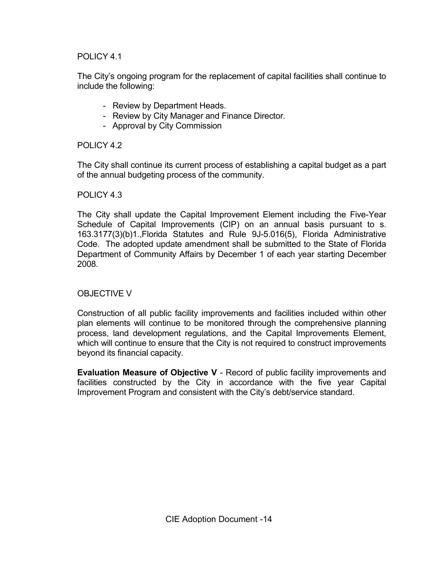## POLICY 4.1

 The City's ongoing program for the replacement of capital facilities shall continue to include the following:

- Review by Department Heads.
- Review by City Manager and Finance Director.
- Approval by City Commission

POLICY 4.2

The City shall continue its current process of establishing a capital budget as a part of the annual budgeting process of the community.

### POLICY 4.3

The City shall update the Capital Improvement Element including the Five-Year Schedule of Capital Improvements (CIP) on an annual basis pursuant to s. 163.3177(3)(b)1.,Florida Statutes and Rule 9J-5.016(5), Florida Administrative Code. The adopted update amendment shall be submitted to the State of Florida Department of Community Affairs by December 1 of each year starting December 2008.

### OBJECTIVE V

 Construction of all public facility improvements and facilities included within other plan elements will continue to be monitored through the comprehensive planning process, land development regulations, and the Capital Improvements Element, which will continue to ensure that the City is not required to construct improvements beyond its financial capacity.

Evaluation Measure of Objective V - Record of public facility improvements and facilities constructed by the City in accordance with the five year Capital Improvement Program and consistent with the City's debt/service standard.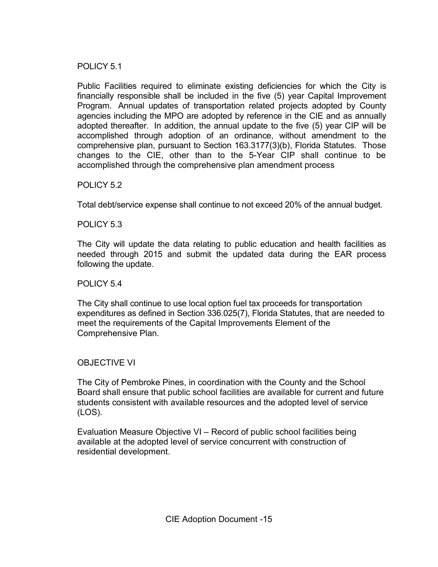POLICY 5.1

Public Facilities required to eliminate existing deficiencies for which the City is financially responsible shall be included in the five (5) year Capital Improvement Program. Annual updates of transportation related projects adopted by County agencies including the MPO are adopted by reference in the CIE and as annually adopted thereafter. In addition, the annual update to the five (5) year CIP will be accomplished through adoption of an ordinance, without amendment to the comprehensive plan, pursuant to Section 163.3177(3)(b), Florida Statutes. Those changes to the CIE, other than to the 5-Year CIP shall continue to be accomplished through the comprehensive plan amendment process

POLICY 5.2

Total debt/service expense shall continue to not exceed 20% of the annual budget.

POLICY 5.3

The City will update the data relating to public education and health facilities as needed through 2015 and submit the updated data during the EAR process following the update.

POLICY 5.4

The City shall continue to use local option fuel tax proceeds for transportation expenditures as defined in Section 336.025(7), Florida Statutes, that are needed to meet the requirements of the Capital Improvements Element of the Comprehensive Plan.

### OBJECTIVE VI

The City of Pembroke Pines, in coordination with the County and the School Board shall ensure that public school facilities are available for current and future students consistent with available resources and the adopted level of service (LOS).

Evaluation Measure Objective VI – Record of public school facilities being available at the adopted level of service concurrent with construction of residential development.